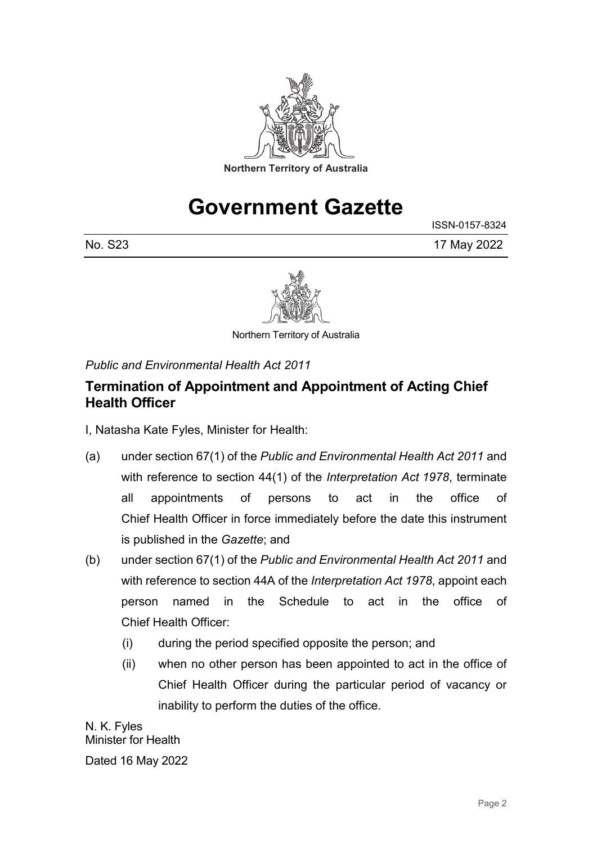

## **Government Gazette**

ISSN-0157-8324 No. S23 17 May 2022



Northern Territory of Australia

*Public and Environmental Health Act 2011*

## **Termination of Appointment and Appointment of Acting Chief Health Officer**

I, Natasha Kate Fyles, Minister for Health:

- (a) under section 67(1) of the *Public and Environmental Health Act 2011* and with reference to section 44(1) of the *Interpretation Act 1978*, terminate all appointments of persons to act in the office of Chief Health Officer in force immediately before the date this instrument is published in the *Gazette*; and
- (b) under section 67(1) of the *Public and Environmental Health Act 2011* and with reference to section 44A of the *Interpretation Act 1978*, appoint each person named in the Schedule to act in the office of Chief Health Officer:
	- (i) during the period specified opposite the person; and
	- (ii) when no other person has been appointed to act in the office of Chief Health Officer during the particular period of vacancy or inability to perform the duties of the office.

N. K. Fyles Minister for Health

Dated 16 May 2022